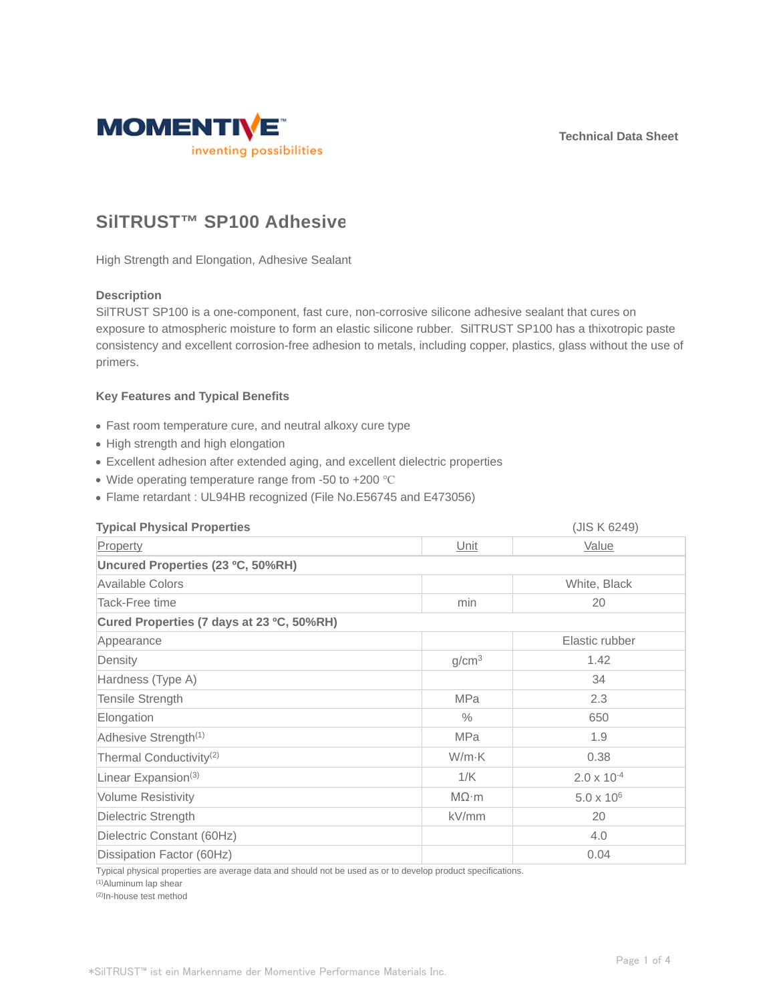**Technical Data Sheet**



# **SilTRUST™ SP100 Adhesive**

High Strength and Elongation, Adhesive Sealant

## **Description**

SilTRUST SP100 is a one-component, fast cure, non-corrosive silicone adhesive sealant that cures on exposure to atmospheric moisture to form an elastic silicone rubber. SilTRUST SP100 has a thixotropic paste consistency and excellent corrosion-free adhesion to metals, including copper, plastics, glass without the use of primers.

## **Key Features and Typical Benefits**

- Fast room temperature cure, and neutral alkoxy cure type
- High strength and high elongation
- Excellent adhesion after extended aging, and excellent dielectric properties
- Wide operating temperature range from -50 to +200 °C
- Flame retardant : UL94HB recognized (File No.E56745 and E473056)

| <b>Typical Physical Properties</b>        |                   | (JIS K 6249)         |  |  |
|-------------------------------------------|-------------------|----------------------|--|--|
| Property                                  | Unit              | <b>Value</b>         |  |  |
| Uncured Properties (23 °C, 50%RH)         |                   |                      |  |  |
| Available Colors                          |                   | White, Black         |  |  |
| Tack-Free time                            | min               | 20                   |  |  |
| Cured Properties (7 days at 23 °C, 50%RH) |                   |                      |  |  |
| Appearance                                |                   | Elastic rubber       |  |  |
| Density                                   | g/cm <sup>3</sup> | 1.42                 |  |  |
| Hardness (Type A)                         |                   | 34                   |  |  |
| Tensile Strength                          | <b>MPa</b>        | 2.3                  |  |  |
| Elongation                                | $\%$              | 650                  |  |  |
| Adhesive Strength <sup>(1)</sup>          | <b>MPa</b>        | 1.9                  |  |  |
| Thermal Conductivity <sup>(2)</sup>       | W/m·K             | 0.38                 |  |  |
| Linear Expansion <sup>(3)</sup>           | 1/K               | $2.0 \times 10^{-4}$ |  |  |
| <b>Volume Resistivity</b>                 | $M\Omega \cdot m$ | $5.0 \times 10^{6}$  |  |  |
| Dielectric Strength                       | kV/mm             | 20                   |  |  |
| Dielectric Constant (60Hz)                |                   | 4.0                  |  |  |
| Dissipation Factor (60Hz)                 |                   | 0.04                 |  |  |

Typical physical properties are average data and should not be used as or to develop product specifications.

(1)Aluminum lap shear

(2)In-house test method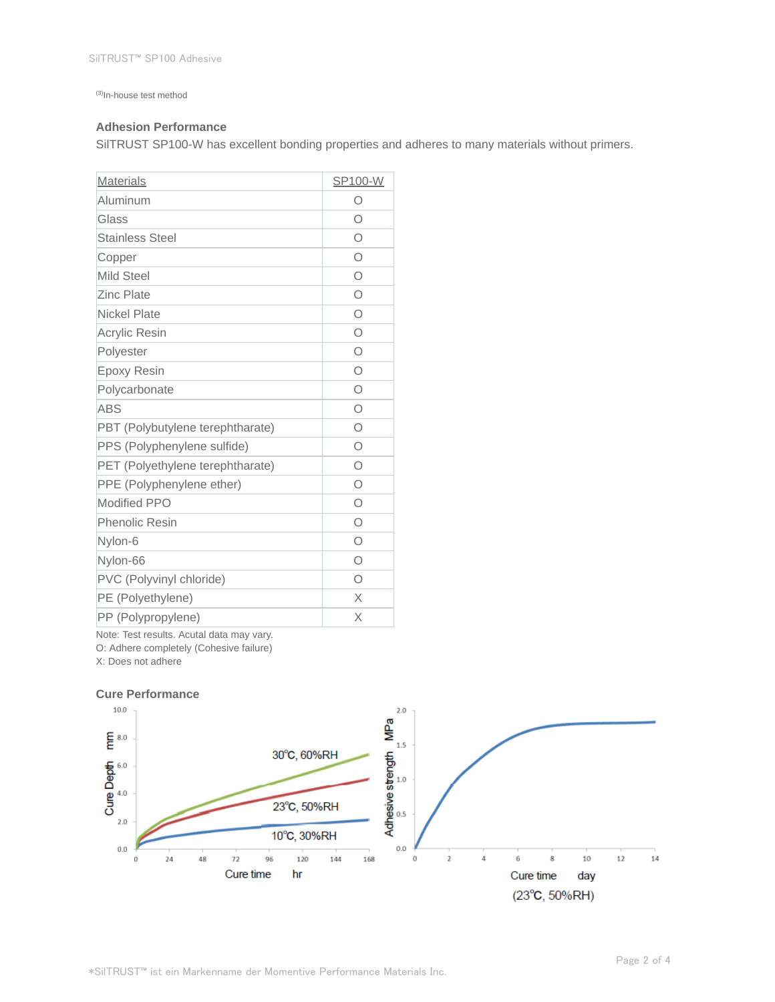(3)In-house test method

## **Adhesion Performance**

SilTRUST SP100-W has excellent bonding properties and adheres to many materials without primers.

| <b>Materials</b>                 | SP100-W |
|----------------------------------|---------|
| Aluminum                         | О       |
| Glass                            | $\circ$ |
| <b>Stainless Steel</b>           | Ο       |
| Copper                           | $\circ$ |
| <b>Mild Steel</b>                | Ω       |
| <b>Zinc Plate</b>                | $\circ$ |
| <b>Nickel Plate</b>              | Ο       |
| <b>Acrylic Resin</b>             | Ο       |
| Polyester                        | O       |
| <b>Epoxy Resin</b>               | $\circ$ |
| Polycarbonate                    | O       |
| <b>ABS</b>                       | Ω       |
| PBT (Polybutylene terephtharate) | $\circ$ |
| PPS (Polyphenylene sulfide)      | Ω       |
| PET (Polyethylene terephtharate) | Ω       |
| PPE (Polyphenylene ether)        | Ω       |
| <b>Modified PPO</b>              | O       |
| <b>Phenolic Resin</b>            | $\circ$ |
| Nylon-6                          | O       |
| Nylon-66                         | $\circ$ |
| PVC (Polyvinyl chloride)         | Ο       |
| PE (Polyethylene)                | X       |
| PP (Polypropylene)               | X       |

Note: Test results. Acutal data may vary.

O: Adhere completely (Cohesive failure)

X: Does not adhere

#### **Cure Performance**

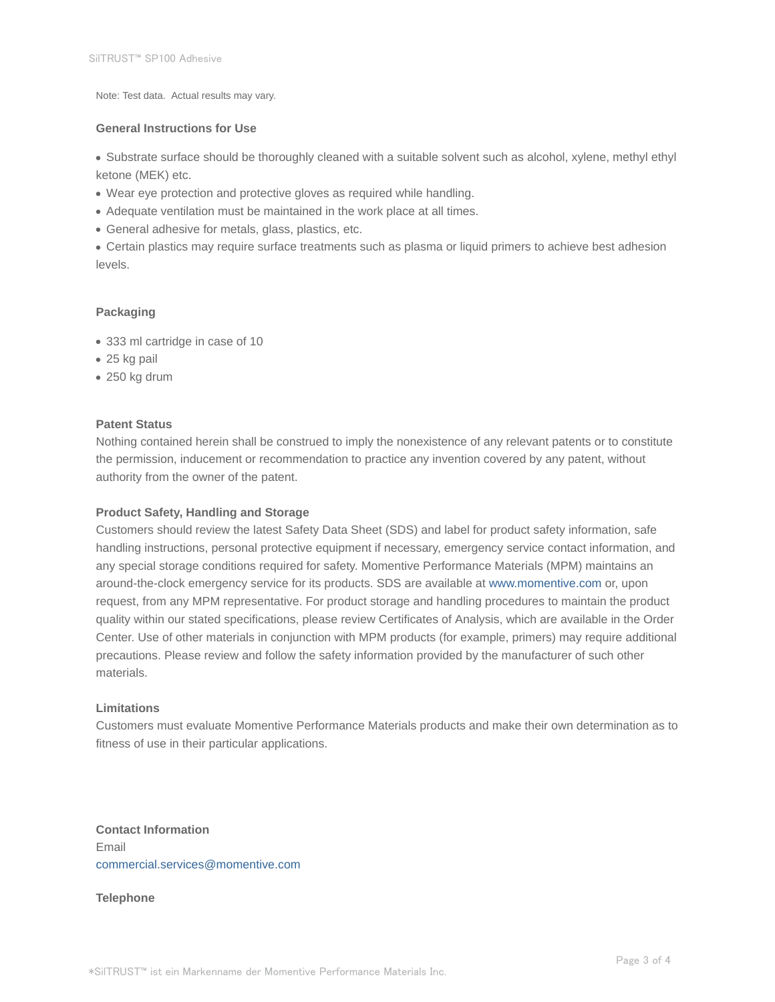Note: Test data. Actual results may vary.

## **General Instructions for Use**

Substrate surface should be thoroughly cleaned with a suitable solvent such as alcohol, xylene, methyl ethyl ketone (MEK) etc.

- Wear eye protection and protective gloves as required while handling.
- Adequate ventilation must be maintained in the work place at all times.
- General adhesive for metals, glass, plastics, etc.

Certain plastics may require surface treatments such as plasma or liquid primers to achieve best adhesion levels.

## **Packaging**

- 333 ml cartridge in case of 10
- 25 kg pail
- 250 kg drum

## **Patent Status**

Nothing contained herein shall be construed to imply the nonexistence of any relevant patents or to constitute the permission, inducement or recommendation to practice any invention covered by any patent, without authority from the owner of the patent.

### **Product Safety, Handling and Storage**

Customers should review the latest Safety Data Sheet (SDS) and label for product safety information, safe handling instructions, personal protective equipment if necessary, emergency service contact information, and any special storage conditions required for safety. Momentive Performance Materials (MPM) maintains an around-the-clock emergency service for its products. SDS are available at www.momentive.com or, upon request, from any MPM representative. For product storage and handling procedures to maintain the product quality within our stated specifications, please review Certificates of Analysis, which are available in the Order Center. Use of other materials in conjunction with MPM products (for example, primers) may require additional precautions. Please review and follow the safety information provided by the manufacturer of such other materials.

### **Limitations**

Customers must evaluate Momentive Performance Materials products and make their own determination as to fitness of use in their particular applications.

**Contact Information** Email commercial.services@momentive.com

**Telephone**